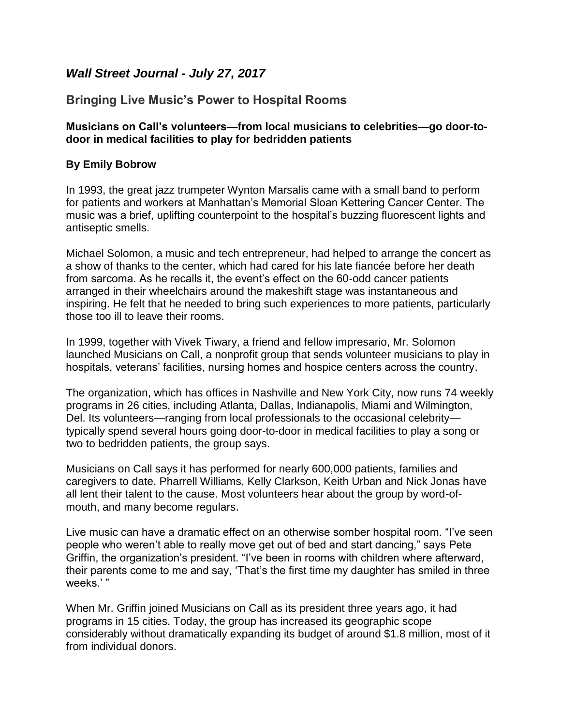## *Wall Street Journal - July 27, 2017*

## **Bringing Live Music's Power to Hospital Rooms**

## **Musicians on Call's volunteers—from local musicians to celebrities—go door-todoor in medical facilities to play for bedridden patients**

## **By Emily Bobrow**

In 1993, the great jazz trumpeter Wynton Marsalis came with a small band to perform for patients and workers at Manhattan's Memorial Sloan Kettering Cancer Center. The music was a brief, uplifting counterpoint to the hospital's buzzing fluorescent lights and antiseptic smells.

Michael Solomon, a music and tech entrepreneur, had helped to arrange the concert as a show of thanks to the center, which had cared for his late fiancée before her death from sarcoma. As he recalls it, the event's effect on the 60-odd cancer patients arranged in their wheelchairs around the makeshift stage was instantaneous and inspiring. He felt that he needed to bring such experiences to more patients, particularly those too ill to leave their rooms.

In 1999, together with Vivek Tiwary, a friend and fellow impresario, Mr. Solomon launched Musicians on Call, a nonprofit group that sends volunteer musicians to play in hospitals, veterans' facilities, nursing homes and hospice centers across the country.

The organization, which has offices in Nashville and New York City, now runs 74 weekly programs in 26 cities, including Atlanta, Dallas, Indianapolis, Miami and Wilmington, Del. Its volunteers—ranging from local professionals to the occasional celebrity typically spend several hours going door-to-door in medical facilities to play a song or two to bedridden patients, the group says.

Musicians on Call says it has performed for nearly 600,000 patients, families and caregivers to date. Pharrell Williams, Kelly Clarkson, Keith Urban and Nick Jonas have all lent their talent to the cause. Most volunteers hear about the group by word-ofmouth, and many become regulars.

Live music can have a dramatic effect on an otherwise somber hospital room. "I've seen people who weren't able to really move get out of bed and start dancing," says Pete Griffin, the organization's president. "I've been in rooms with children where afterward, their parents come to me and say, 'That's the first time my daughter has smiled in three weeks.'"

When Mr. Griffin joined Musicians on Call as its president three years ago, it had programs in 15 cities. Today, the group has increased its geographic scope considerably without dramatically expanding its budget of around \$1.8 million, most of it from individual donors.